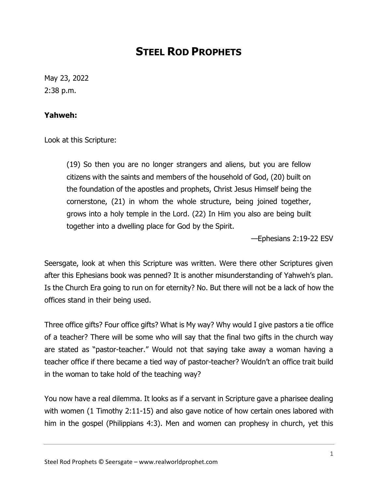## **STEEL ROD PROPHETS**

May 23, 2022 2:38 p.m.

## **Yahweh:**

Look at this Scripture:

(19) So then you are no longer strangers and aliens, but you are fellow citizens with the saints and members of the household of God, (20) built on the foundation of the apostles and prophets, Christ Jesus Himself being the cornerstone, (21) in whom the whole structure, being joined together, grows into a holy temple in the Lord. (22) In Him you also are being built together into a dwelling place for God by the Spirit.

—Ephesians 2:19-22 ESV

Seersgate, look at when this Scripture was written. Were there other Scriptures given after this Ephesians book was penned? It is another misunderstanding of Yahweh's plan. Is the Church Era going to run on for eternity? No. But there will not be a lack of how the offices stand in their being used.

Three office gifts? Four office gifts? What is My way? Why would I give pastors a tie office of a teacher? There will be some who will say that the final two gifts in the church way are stated as "pastor-teacher." Would not that saying take away a woman having a teacher office if there became a tied way of pastor-teacher? Wouldn't an office trait build in the woman to take hold of the teaching way?

You now have a real dilemma. It looks as if a servant in Scripture gave a pharisee dealing with women (1 Timothy 2:11-15) and also gave notice of how certain ones labored with him in the gospel (Philippians 4:3). Men and women can prophesy in church, yet this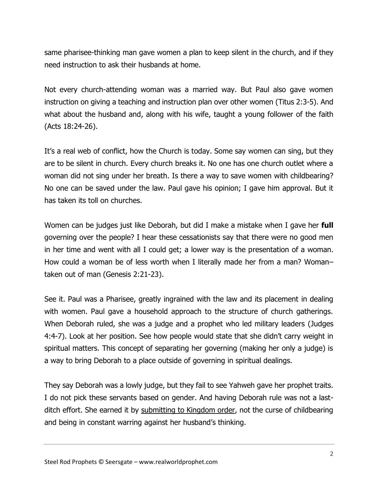same pharisee-thinking man gave women a plan to keep silent in the church, and if they need instruction to ask their husbands at home.

Not every church-attending woman was a married way. But Paul also gave women instruction on giving a teaching and instruction plan over other women (Titus 2:3-5). And what about the husband and, along with his wife, taught a young follower of the faith (Acts 18:24-26).

It's a real web of conflict, how the Church is today. Some say women can sing, but they are to be silent in church. Every church breaks it. No one has one church outlet where a woman did not sing under her breath. Is there a way to save women with childbearing? No one can be saved under the law. Paul gave his opinion; I gave him approval. But it has taken its toll on churches.

Women can be judges just like Deborah, but did I make a mistake when I gave her **full**  governing over the people? I hear these cessationists say that there were no good men in her time and went with all I could get; a lower way is the presentation of a woman. How could a woman be of less worth when I literally made her from a man? Woman– taken out of man (Genesis 2:21-23).

See it. Paul was a Pharisee, greatly ingrained with the law and its placement in dealing with women. Paul gave a household approach to the structure of church gatherings. When Deborah ruled, she was a judge and a prophet who led military leaders (Judges 4:4-7). Look at her position. See how people would state that she didn't carry weight in spiritual matters. This concept of separating her governing (making her only a judge) is a way to bring Deborah to a place outside of governing in spiritual dealings.

They say Deborah was a lowly judge, but they fail to see Yahweh gave her prophet traits. I do not pick these servants based on gender. And having Deborah rule was not a lastditch effort. She earned it by submitting to Kingdom order, not the curse of childbearing and being in constant warring against her husband's thinking.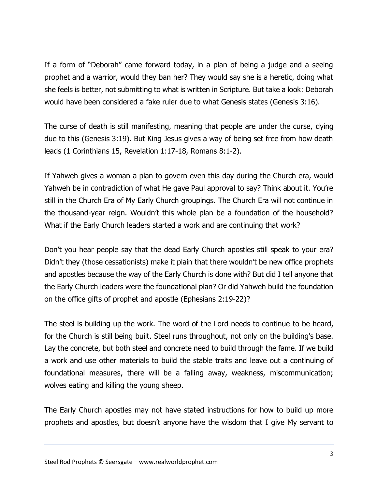If a form of "Deborah" came forward today, in a plan of being a judge and a seeing prophet and a warrior, would they ban her? They would say she is a heretic, doing what she feels is better, not submitting to what is written in Scripture. But take a look: Deborah would have been considered a fake ruler due to what Genesis states (Genesis 3:16).

The curse of death is still manifesting, meaning that people are under the curse, dying due to this (Genesis 3:19). But King Jesus gives a way of being set free from how death leads (1 Corinthians 15, Revelation 1:17-18, Romans 8:1-2).

If Yahweh gives a woman a plan to govern even this day during the Church era, would Yahweh be in contradiction of what He gave Paul approval to say? Think about it. You're still in the Church Era of My Early Church groupings. The Church Era will not continue in the thousand-year reign. Wouldn't this whole plan be a foundation of the household? What if the Early Church leaders started a work and are continuing that work?

Don't you hear people say that the dead Early Church apostles still speak to your era? Didn't they (those cessationists) make it plain that there wouldn't be new office prophets and apostles because the way of the Early Church is done with? But did I tell anyone that the Early Church leaders were the foundational plan? Or did Yahweh build the foundation on the office gifts of prophet and apostle (Ephesians 2:19-22)?

The steel is building up the work. The word of the Lord needs to continue to be heard, for the Church is still being built. Steel runs throughout, not only on the building's base. Lay the concrete, but both steel and concrete need to build through the fame. If we build a work and use other materials to build the stable traits and leave out a continuing of foundational measures, there will be a falling away, weakness, miscommunication; wolves eating and killing the young sheep.

The Early Church apostles may not have stated instructions for how to build up more prophets and apostles, but doesn't anyone have the wisdom that I give My servant to